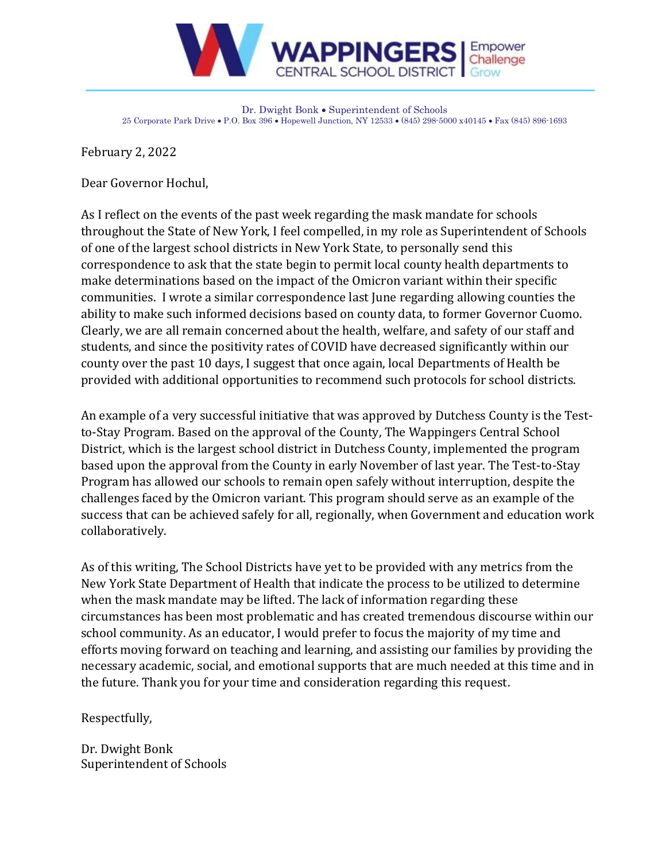

Dr. Dwight Bonk • Superintendent of Schools 25 Corporate Park Drive • P.O. Box 396 • Hopewell Junction, NY 12533 • (845) 298-5000 x40145 • Fax (845) 896-1693

February 2, 2022

Dear Governor Hochul,

As I reflect on the events of the past week regarding the mask mandate for schools throughout the State of New York, I feel compelled, in my role as Superintendent of Schools of one of the largest school districts in New York State, to personally send this correspondence to ask that the state begin to permit local county health departments to make determinations based on the impact of the Omicron variant within their specific communities. I wrote a similar correspondence last June regarding allowing counties the ability to make such informed decisions based on county data, to former Governor Cuomo. Clearly, we are all remain concerned about the health, welfare, and safety of our staff and students, and since the positivity rates of COVID have decreased significantly within our county over the past 10 days, I suggest that once again, local Departments of Health be provided with additional opportunities to recommend such protocols for school districts.

An example of a very successful initiative that was approved by Dutchess County is the Testto-Stay Program. Based on the approval of the County, The Wappingers Central School District, which is the largest school district in Dutchess County, implemented the program based upon the approval from the County in early November of last year. The Test-to-Stay Program has allowed our schools to remain open safely without interruption, despite the challenges faced by the Omicron variant. This program should serve as an example of the success that can be achieved safely for all, regionally, when Government and education work collaboratively.

As of this writing, The School Districts have yet to be provided with any metrics from the New York State Department of Health that indicate the process to be utilized to determine when the mask mandate may be lifted. The lack of information regarding these circumstances has been most problematic and has created tremendous discourse within our school community. As an educator, I would prefer to focus the majority of my time and efforts moving forward on teaching and learning, and assisting our families by providing the necessary academic, social, and emotional supports that are much needed at this time and in the future. Thank you for your time and consideration regarding this request.

Respectfully,

Dr. Dwight Bonk Superintendent of Schools